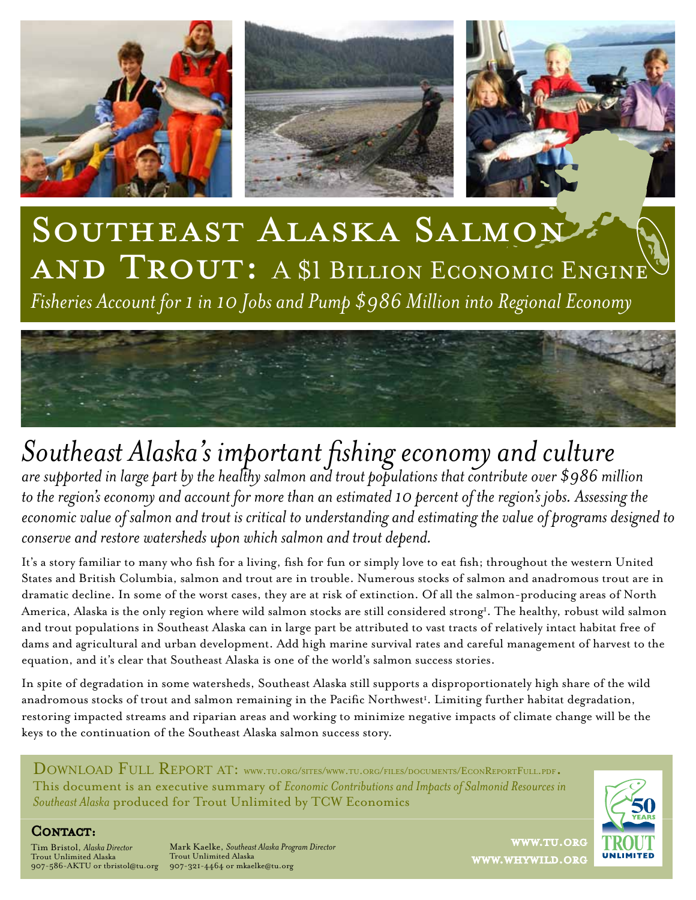

# Southeast Alaska Salmon AND TROUT: A \$1 BILLION ECONOMIC ENGINE *Fisheries Account for 1 in 10 Jobs and Pump \$986 Million into Regional Economy*



### *Southeast Alaska's important fishing economy and culture are supported in large part by the healthy salmon and trout populations that contribute over \$986 million*  to the region's economy and account for more than an estimated 10 percent of the region's jobs. Assessing the *economic value of salmon and trout is critical to understanding and estimating the value of programs designed to conserve and restore watersheds upon which salmon and trout depend.*

It's a story familiar to many who fish for a living, fish for fun or simply love to eat fish; throughout the western United States and British Columbia, salmon and trout are in trouble. Numerous stocks of salmon and anadromous trout are in dramatic decline. In some of the worst cases, they are at risk of extinction. Of all the salmon-producing areas of North America, Alaska is the only region where wild salmon stocks are still considered strong<sup>1</sup>. The healthy, robust wild salmon and trout populations in Southeast Alaska can in large part be attributed to vast tracts of relatively intact habitat free of dams and agricultural and urban development. Add high marine survival rates and careful management of harvest to the equation, and it's clear that Southeast Alaska is one of the world's salmon success stories.

In spite of degradation in some watersheds, Southeast Alaska still supports a disproportionately high share of the wild anadromous stocks of trout and salmon remaining in the Pacific Northwest<sup>1</sup>. Limiting further habitat degradation, restoring impacted streams and riparian areas and working to minimize negative impacts of climate change will be the keys to the continuation of the Southeast Alaska salmon success story.

DOWNLOAD FULL REPORT AT: WWW.TU.ORG/SITES/WWW.TU.ORG/FILES/DOCUMENTS/ECONREPORTFULL.PDF. This document is an executive summary of *Economic Contributions and Impacts of Salmonid Resources in Southeast Alaska* produced for Trout Unlimited by TCW Economics



#### CONTACT:

Tim Bristol, *Alaska Director* Trout Unlimited Alaska 907-586-AKTU or tbristol@tu.org 907-321-4464 or mkaelke@tu.org

Mark Kaelke, *Southeast Alaska Program Director* Trout Unlimited Alaska

www.tu.org www.whywild.org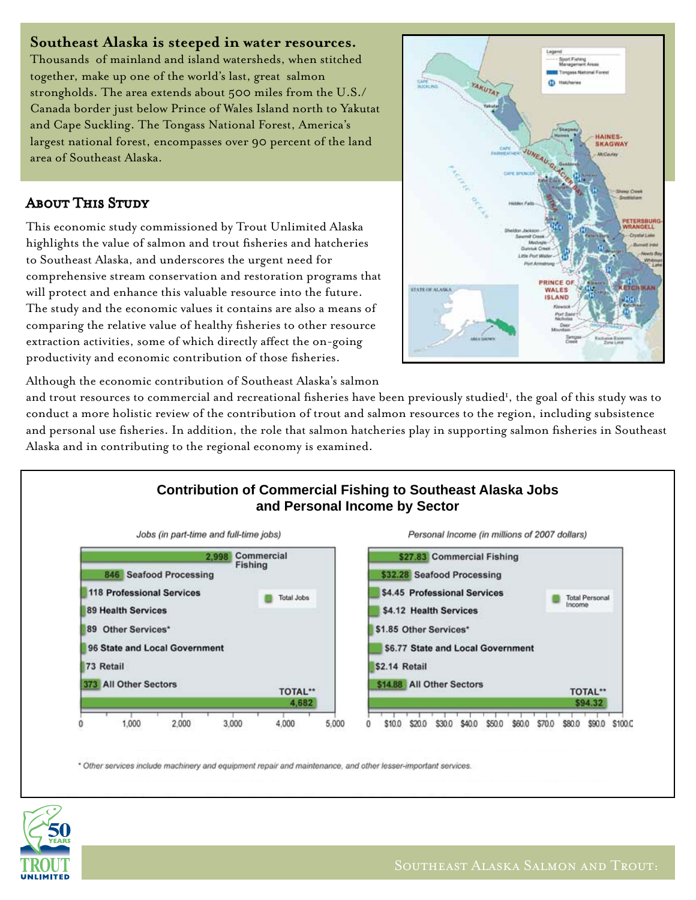#### **Southeast Alaska is steeped in water resources.**

Thousands of mainland and island watersheds, when stitched together, make up one of the world's last, great salmon strongholds. The area extends about 500 miles from the U.S./ Canada border just below Prince of Wales Island north to Yakutat and Cape Suckling. The Tongass National Forest, America's largest national forest, encompasses over 90 percent of the land area of Southeast Alaska.

#### **ABOUT THIS STUDY**

This economic study commissioned by Trout Unlimited Alaska highlights the value of salmon and trout fisheries and hatcheries to Southeast Alaska, and underscores the urgent need for comprehensive stream conservation and restoration programs that will protect and enhance this valuable resource into the future. The study and the economic values it contains are also a means of comparing the relative value of healthy fisheries to other resource extraction activities, some of which directly affect the on-going productivity and economic contribution of those fisheries.



Although the economic contribution of Southeast Alaska's salmon

and trout resources to commercial and recreational fisheries have been previously studied<sup>1</sup>, the goal of this study was to conduct a more holistic review of the contribution of trout and salmon resources to the region, including subsistence and personal use fisheries. In addition, the role that salmon hatcheries play in supporting salmon fisheries in Southeast Alaska and in contributing to the regional economy is examined.



\* Other services include machinery and equipment repair and maintenance, and other lesser-important services.

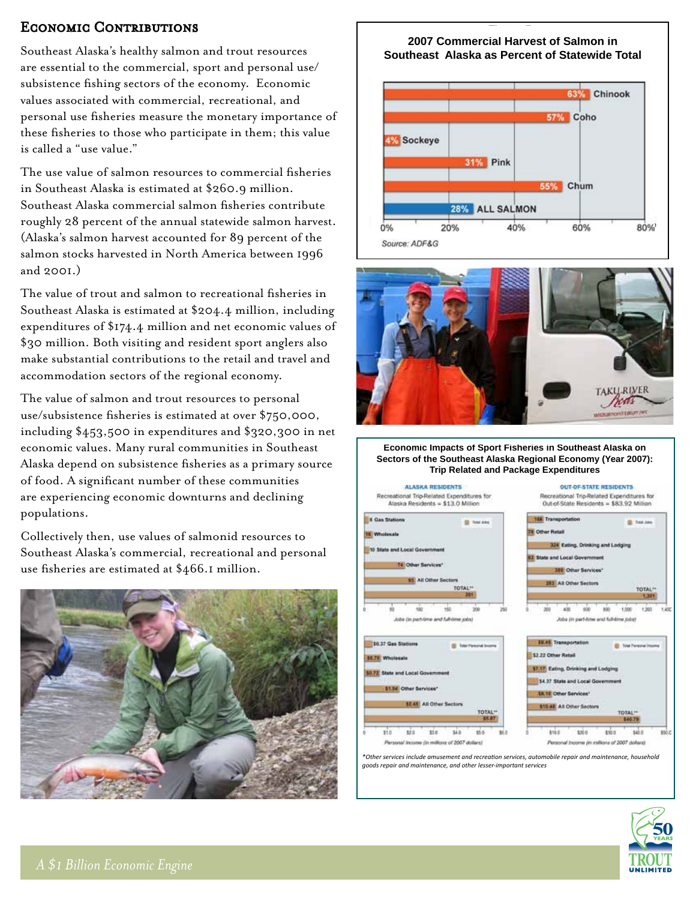#### ECONOMIC CONTRIBUTIONS

Southeast Alaska's healthy salmon and trout resources are essential to the commercial, sport and personal use/ subsistence fishing sectors of the economy. Economic values associated with commercial, recreational, and personal use fisheries measure the monetary importance of these fisheries to those who participate in them; this value is called a "use value."

The use value of salmon resources to commercial fisheries in Southeast Alaska is estimated at \$260.9 million. Southeast Alaska commercial salmon fisheries contribute roughly 28 percent of the annual statewide salmon harvest. (Alaska's salmon harvest accounted for 89 percent of the salmon stocks harvested in North America between 1996 and 2001.)

The value of trout and salmon to recreational fisheries in Southeast Alaska is estimated at \$204.4 million, including expenditures of \$174.4 million and net economic values of \$30 million. Both visiting and resident sport anglers also make substantial contributions to the retail and travel and accommodation sectors of the regional economy.

The value of salmon and trout resources to personal use/subsistence fisheries is estimated at over \$750,000, including \$453,500 in expenditures and \$320,300 in net economic values. Many rural communities in Southeast Alaska depend on subsistence fisheries as a primary source of food. A significant number of these communities are experiencing economic downturns and declining populations.

Collectively then, use values of salmonid resources to Southeast Alaska's commercial, recreational and personal use fisheries are estimated at \$466.1 million.



#### **2007 Commercial Harvest of Salmon in Southeast Alaska as Percent of Statewide Total**





**Economic Impacts of Sport Fisheries in Southeast Alaska on Sectors of the Southeast Alaska Regional Economy (Year 2007): Trip Related and Package Expenditures**



1,301

1,200